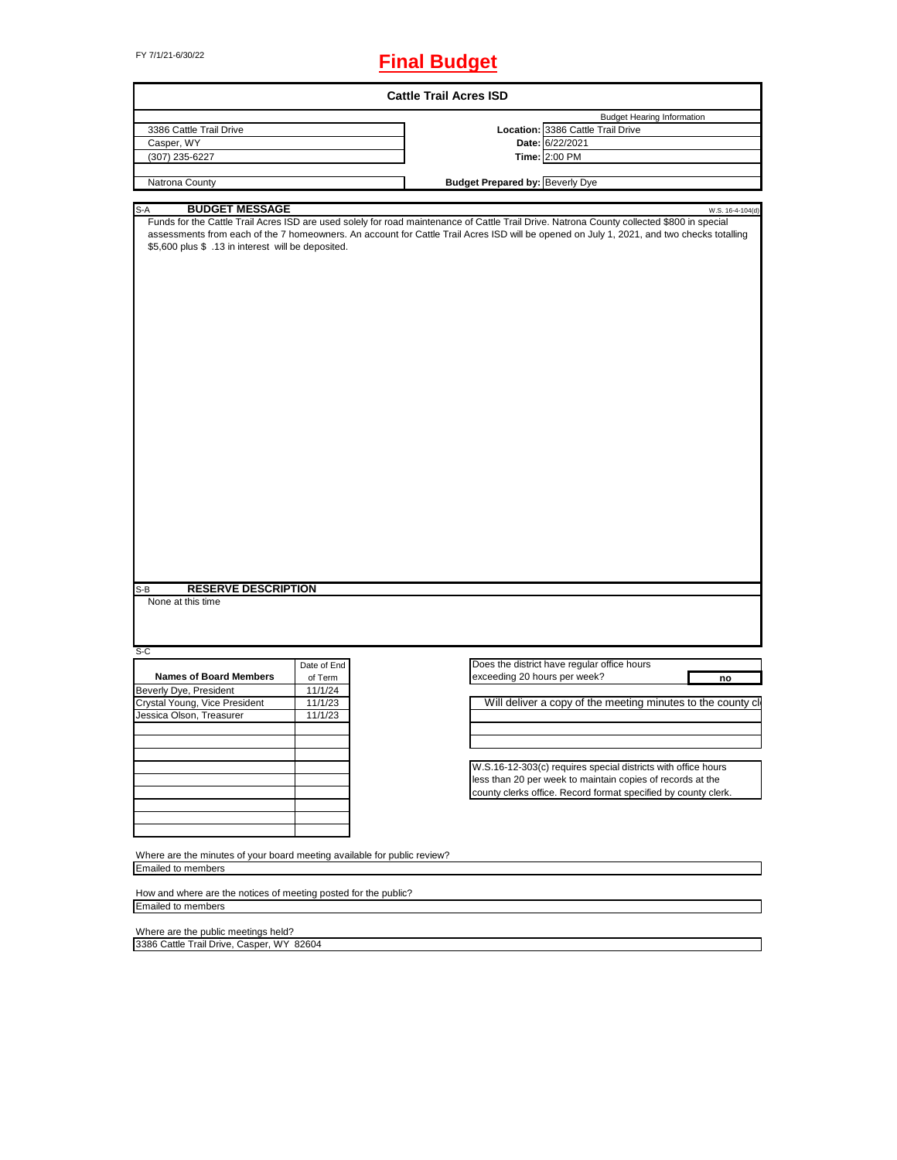# FY 7/1/21-6/30/22 **Final Budget**

|                                                                                    |             | <b>Cattle Trail Acres ISD</b>          |                                                                                                                                                                                                                                                                                                             |
|------------------------------------------------------------------------------------|-------------|----------------------------------------|-------------------------------------------------------------------------------------------------------------------------------------------------------------------------------------------------------------------------------------------------------------------------------------------------------------|
|                                                                                    |             |                                        | <b>Budget Hearing Information</b>                                                                                                                                                                                                                                                                           |
| 3386 Cattle Trail Drive                                                            |             |                                        | Location: 3386 Cattle Trail Drive                                                                                                                                                                                                                                                                           |
| Casper, WY                                                                         |             |                                        | Date: 6/22/2021                                                                                                                                                                                                                                                                                             |
| (307) 235-6227                                                                     |             |                                        | Time: 2:00 PM                                                                                                                                                                                                                                                                                               |
|                                                                                    |             |                                        |                                                                                                                                                                                                                                                                                                             |
| Natrona County                                                                     |             | <b>Budget Prepared by: Beverly Dye</b> |                                                                                                                                                                                                                                                                                                             |
|                                                                                    |             |                                        |                                                                                                                                                                                                                                                                                                             |
| <b>BUDGET MESSAGE</b><br>S-A<br>\$5,600 plus \$ .13 in interest will be deposited. |             |                                        | W.S. 16-4-104(d)<br>Funds for the Cattle Trail Acres ISD are used solely for road maintenance of Cattle Trail Drive. Natrona County collected \$800 in special<br>assessments from each of the 7 homeowners. An account for Cattle Trail Acres ISD will be opened on July 1, 2021, and two checks totalling |
| <b>RESERVE DESCRIPTION</b><br>S-B<br>None at this time<br>S-C                      |             |                                        |                                                                                                                                                                                                                                                                                                             |
|                                                                                    | Date of End |                                        | Does the district have regular office hours                                                                                                                                                                                                                                                                 |
| <b>Names of Board Members</b>                                                      | of Term     | exceeding 20 hours per week?           | no                                                                                                                                                                                                                                                                                                          |
| Beverly Dye, President                                                             | 11/1/24     |                                        |                                                                                                                                                                                                                                                                                                             |
| Crystal Young, Vice President                                                      | 11/1/23     |                                        | Will deliver a copy of the meeting minutes to the county cl                                                                                                                                                                                                                                                 |
| Jessica Olson, Treasurer                                                           | 11/1/23     |                                        |                                                                                                                                                                                                                                                                                                             |
|                                                                                    |             |                                        |                                                                                                                                                                                                                                                                                                             |
|                                                                                    |             |                                        |                                                                                                                                                                                                                                                                                                             |
|                                                                                    |             |                                        |                                                                                                                                                                                                                                                                                                             |
|                                                                                    |             |                                        | W.S.16-12-303(c) requires special districts with office hours                                                                                                                                                                                                                                               |
|                                                                                    |             |                                        |                                                                                                                                                                                                                                                                                                             |
|                                                                                    |             |                                        | less than 20 per week to maintain copies of records at the                                                                                                                                                                                                                                                  |
|                                                                                    |             |                                        | county clerks office. Record format specified by county clerk.                                                                                                                                                                                                                                              |
|                                                                                    |             |                                        |                                                                                                                                                                                                                                                                                                             |
|                                                                                    |             |                                        |                                                                                                                                                                                                                                                                                                             |
|                                                                                    |             |                                        |                                                                                                                                                                                                                                                                                                             |
|                                                                                    |             |                                        |                                                                                                                                                                                                                                                                                                             |
| Where are the minutes of your board meeting available for public review?           |             |                                        |                                                                                                                                                                                                                                                                                                             |
| <b>Emailed to members</b>                                                          |             |                                        |                                                                                                                                                                                                                                                                                                             |
|                                                                                    |             |                                        |                                                                                                                                                                                                                                                                                                             |
| How and where are the notices of meeting posted for the public?                    |             |                                        |                                                                                                                                                                                                                                                                                                             |
| <b>Emailed to members</b>                                                          |             |                                        |                                                                                                                                                                                                                                                                                                             |
|                                                                                    |             |                                        |                                                                                                                                                                                                                                                                                                             |

Where are the public meetings held? 3386 Cattle Trail Drive, Casper, WY 82604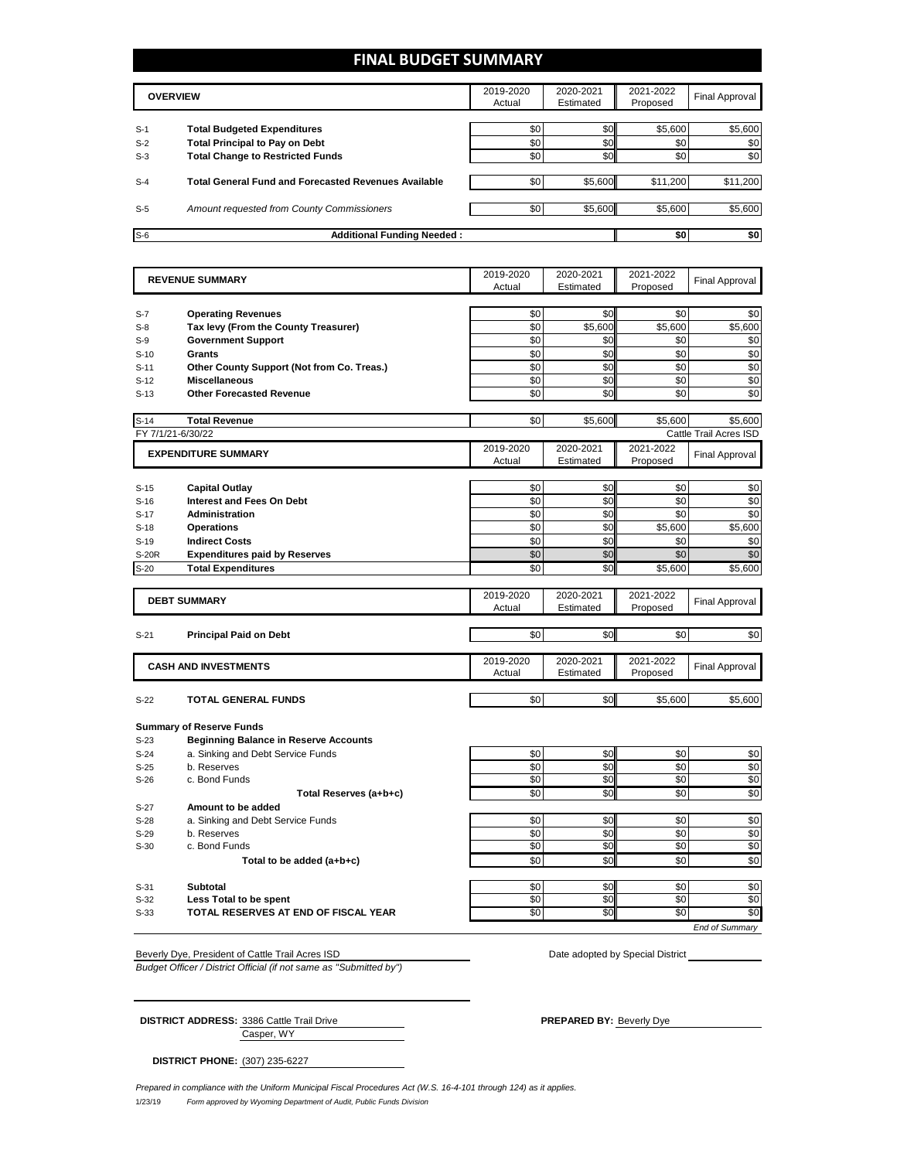## **FINAL BUDGET SUMMARY**

|                | <b>OVERVIEW</b>                                                             | 2019-2020<br>Actual | 2020-2021<br>Estimated | 2021-2022<br>Proposed | Final Approval |
|----------------|-----------------------------------------------------------------------------|---------------------|------------------------|-----------------------|----------------|
|                |                                                                             | \$0                 |                        | \$5,600               | \$5,600        |
| $S-1$<br>$S-2$ | <b>Total Budgeted Expenditures</b><br><b>Total Principal to Pay on Debt</b> | \$0                 | \$0<br>\$0             | \$0                   | \$0            |
| $S-3$          | <b>Total Change to Restricted Funds</b>                                     | \$0                 | \$0                    | \$0                   | \$0            |
| $S-4$          | <b>Total General Fund and Forecasted Revenues Available</b>                 | \$0                 | \$5,600                | \$11,200              | \$11,200       |
| $S-5$          | Amount requested from County Commissioners                                  | \$0                 | \$5,600                | \$5,600               | \$5,600        |
| $S-6$          | <b>Additional Funding Needed:</b>                                           |                     |                        | \$0                   | \$0            |

| <b>REVENUE SUMMARY</b> |                                              | 2019-2020<br>Actual | 2020-2021<br>Estimated | 2021-2022<br>Proposed | Final Approval         |
|------------------------|----------------------------------------------|---------------------|------------------------|-----------------------|------------------------|
|                        |                                              |                     |                        |                       |                        |
| $S-7$                  | <b>Operating Revenues</b>                    | \$0                 | \$0                    | \$0                   | \$0                    |
| $S-8$                  | Tax levy (From the County Treasurer)         | \$0                 | \$5,600                | \$5,600               | \$5,600                |
| $S-9$                  | <b>Government Support</b>                    | \$0                 | \$0                    | \$0                   | \$0                    |
| $S-10$                 | Grants                                       | \$0                 | \$0                    | \$0                   | \$0                    |
| $S-11$                 | Other County Support (Not from Co. Treas.)   | \$0                 | \$0                    | \$0                   | \$0                    |
| $S-12$                 | <b>Miscellaneous</b>                         | \$0                 | \$0                    | \$0                   | \$0                    |
| $S-13$                 | <b>Other Forecasted Revenue</b>              | \$0                 | \$0                    | \$0                   | \$0                    |
| $S-14$                 | <b>Total Revenue</b>                         | \$0                 | \$5,600                | \$5.600               | \$5,600                |
|                        | FY 7/1/21-6/30/22                            |                     |                        |                       | Cattle Trail Acres ISD |
|                        | <b>EXPENDITURE SUMMARY</b>                   | 2019-2020<br>Actual | 2020-2021<br>Estimated | 2021-2022<br>Proposed | <b>Final Approval</b>  |
| $S-15$                 | <b>Capital Outlay</b>                        | \$0                 | \$0                    | \$0                   | \$0                    |
| $S-16$                 | Interest and Fees On Debt                    | \$0                 | \$0                    | \$0                   | \$0                    |
| $S-17$                 | <b>Administration</b>                        | \$0                 | \$0                    | \$0                   | \$0                    |
| $S-18$                 | <b>Operations</b>                            | \$0                 | \$0                    | \$5.600               | \$5,600                |
| $S-19$                 | <b>Indirect Costs</b>                        | \$0                 | \$0                    | \$0                   | \$0                    |
| S-20R                  | <b>Expenditures paid by Reserves</b>         | \$0                 | \$0                    | \$0                   | \$0                    |
| $S-20$                 | <b>Total Expenditures</b>                    | \$0                 | \$0                    | \$5,600               | \$5,600                |
|                        |                                              |                     |                        |                       |                        |
|                        | <b>DEBT SUMMARY</b>                          | 2019-2020<br>Actual | 2020-2021<br>Estimated | 2021-2022<br>Proposed | <b>Final Approval</b>  |
|                        |                                              |                     |                        |                       |                        |
| $S-21$                 | <b>Principal Paid on Debt</b>                | \$0                 | \$0                    | \$0                   | \$0                    |
|                        |                                              |                     |                        |                       |                        |
|                        | <b>CASH AND INVESTMENTS</b>                  | 2019-2020           | 2020-2021              | 2021-2022             | <b>Final Approval</b>  |
|                        |                                              | Actual              | Estimated              | Proposed              |                        |
| $S-22$                 | <b>TOTAL GENERAL FUNDS</b>                   | \$0                 | \$0                    | \$5,600               | \$5,600                |
|                        | <b>Summary of Reserve Funds</b>              |                     |                        |                       |                        |
| $S-23$                 | <b>Beginning Balance in Reserve Accounts</b> |                     |                        |                       |                        |
| $S-24$                 | a. Sinking and Debt Service Funds            | \$0                 | \$0                    | \$0                   | \$0                    |
| $S-25$                 | b. Reserves                                  | \$0                 | \$0                    | \$0                   | \$0                    |
| $S-26$                 | c. Bond Funds                                | \$0                 | \$0                    | \$0                   | \$0                    |
|                        | Total Reserves (a+b+c)                       | \$0                 | \$0                    | \$0                   | \$0                    |
| S-27                   | Amount to be added                           |                     |                        |                       |                        |
| $S-28$                 | a. Sinking and Debt Service Funds            | \$0                 | \$0                    | \$0                   | \$0                    |
| $S-29$                 | b. Reserves                                  | \$0                 | \$0                    | \$0                   | \$0                    |
| $S-30$                 | c. Bond Funds                                | \$0                 | \$0                    | \$0                   | \$0                    |
|                        | Total to be added (a+b+c)                    | \$0                 | \$0                    | \$0                   | \$0                    |
| $S-31$                 | <b>Subtotal</b>                              | \$0                 | \$0                    | \$0                   | \$0                    |
| $S-32$                 | Less Total to be spent                       | \$0                 | \$0                    | \$0                   | \$0                    |
| $S-33$                 | TOTAL RESERVES AT END OF FISCAL YEAR         | \$0                 | \$0                    | \$0                   | \$0                    |
|                        |                                              |                     |                        |                       | <b>End of Summary</b>  |
|                        |                                              |                     |                        |                       |                        |

Beverly Dye, President of Cattle Trail Acres ISD Date adopted by Special District President of Cattle Trail Acres ISD

*Budget Officer / District Official (if not same as "Submitted by")*

Casper, WY **DISTRICT ADDRESS:** 3386 Cattle Trail Drive **PREPARED BY:** Beverly Dye

**DISTRICT PHONE:** (307) 235-6227

1/23/19 *Form approved by Wyoming Department of Audit, Public Funds Division Prepared in compliance with the Uniform Municipal Fiscal Procedures Act (W.S. 16-4-101 through 124) as it applies.*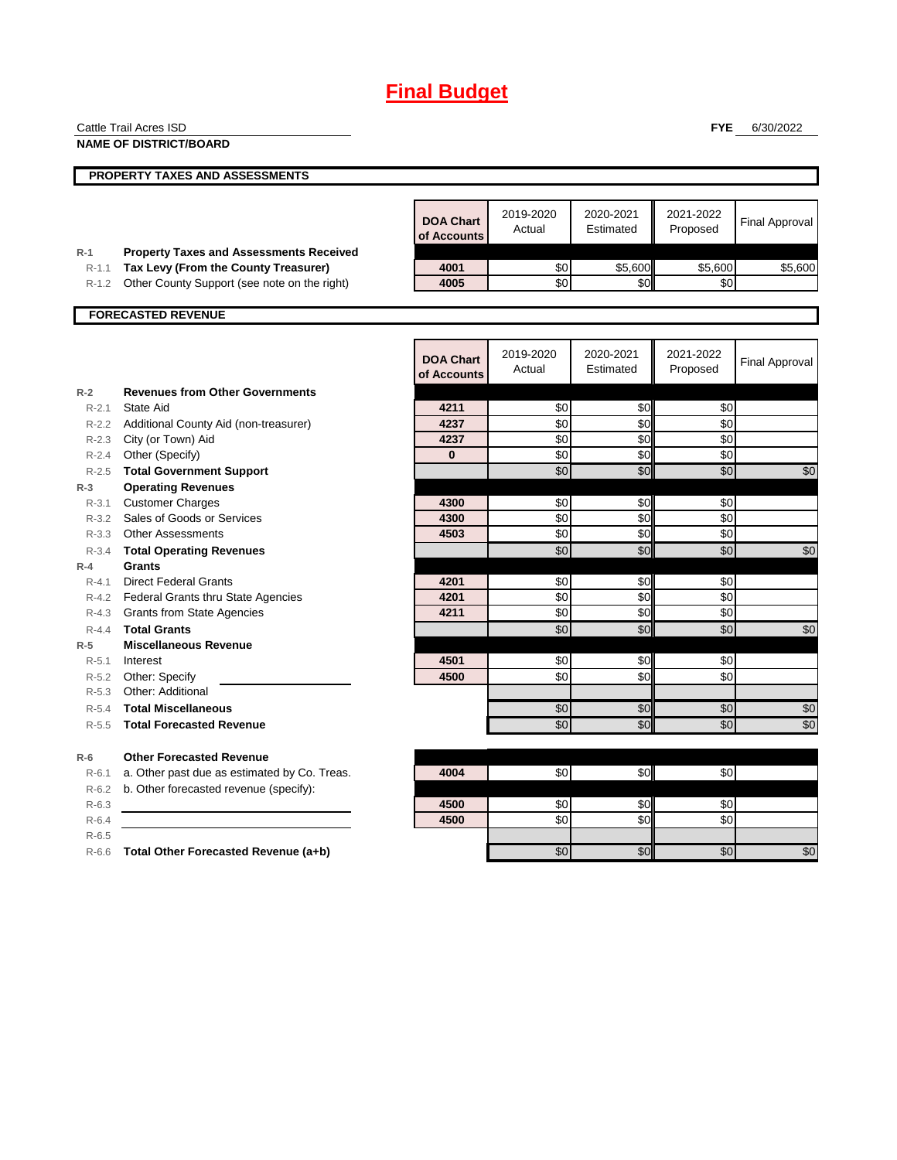# **Final Budget**

|                    | Cattle Trail Acres ISD                                                                 |                                 |                     |                        | <b>FYE</b>            | 6/30/2022             |
|--------------------|----------------------------------------------------------------------------------------|---------------------------------|---------------------|------------------------|-----------------------|-----------------------|
|                    | <b>NAME OF DISTRICT/BOARD</b>                                                          |                                 |                     |                        |                       |                       |
|                    | <b>PROPERTY TAXES AND ASSESSMENTS</b>                                                  |                                 |                     |                        |                       |                       |
|                    |                                                                                        |                                 |                     |                        |                       |                       |
|                    |                                                                                        | <b>DOA Chart</b><br>of Accounts | 2019-2020<br>Actual | 2020-2021<br>Estimated | 2021-2022<br>Proposed | <b>Final Approval</b> |
| $R-1$<br>$R-1.1$   | <b>Property Taxes and Assessments Received</b><br>Tax Levy (From the County Treasurer) | 4001                            | \$0                 | \$5,600                | \$5,600               | \$5,600               |
| $R-1.2$            | Other County Support (see note on the right)                                           | 4005                            | \$0                 | \$0                    | \$0                   |                       |
|                    |                                                                                        |                                 |                     |                        |                       |                       |
|                    | <b>FORECASTED REVENUE</b>                                                              |                                 |                     |                        |                       |                       |
|                    |                                                                                        | <b>DOA Chart</b><br>of Accounts | 2019-2020<br>Actual | 2020-2021<br>Estimated | 2021-2022<br>Proposed | <b>Final Approval</b> |
| $R-2$              | <b>Revenues from Other Governments</b>                                                 |                                 |                     |                        |                       |                       |
| $R - 2.1$          | State Aid                                                                              | 4211                            | \$0                 | \$0                    | \$0                   |                       |
| $R - 2.2$          | Additional County Aid (non-treasurer)                                                  | 4237                            | \$0                 | \$0                    | \$0                   |                       |
|                    | R-2.3 City (or Town) Aid                                                               | 4237<br>$\bf{0}$                | \$0                 | \$0                    | \$0<br>\$0            |                       |
| $R - 2.4$          | Other (Specify)                                                                        |                                 | \$0<br>\$0          | \$0                    |                       |                       |
| $R - 2.5$<br>$R-3$ | <b>Total Government Support</b><br><b>Operating Revenues</b>                           |                                 |                     | \$0                    | \$0                   | \$0                   |
| $R - 3.1$          | <b>Customer Charges</b>                                                                | 4300                            | \$0                 | \$0                    | \$0                   |                       |
|                    | R-3.2 Sales of Goods or Services                                                       | 4300                            | \$0                 | \$0                    | \$0                   |                       |
| $R - 3.3$          | <b>Other Assessments</b>                                                               | 4503                            | \$0                 | $\sqrt{6}$             | \$0                   |                       |
| $R - 3.4$          | <b>Total Operating Revenues</b>                                                        |                                 | \$0                 | \$0                    | \$0                   | \$0                   |
| $R-4$              | Grants                                                                                 |                                 |                     |                        |                       |                       |
| $R - 4.1$          | <b>Direct Federal Grants</b>                                                           | 4201                            | \$0                 | \$0                    | \$0                   |                       |
|                    | R-4.2 Federal Grants thru State Agencies                                               | 4201                            | \$0                 | \$0                    | \$0                   |                       |
|                    | R-4.3 Grants from State Agencies                                                       | 4211                            | \$0                 | \$0                    | \$0                   |                       |
| $R - 4.4$          | <b>Total Grants</b>                                                                    |                                 | \$0                 | \$0                    | \$0                   | \$0                   |
| $R-5$              | <b>Miscellaneous Revenue</b>                                                           |                                 |                     |                        |                       |                       |
| $R - 5.1$          | Interest                                                                               | 4501                            | \$0                 | \$0                    | \$0                   |                       |
| R-5.2              | Other: Specify                                                                         | 4500                            | \$0                 | \$0                    | \$0                   |                       |
| $R - 5.3$          | Other: Additional                                                                      |                                 |                     |                        |                       |                       |
| $R-5.4$            | <b>Total Miscellaneous</b>                                                             |                                 | \$0                 | \$0                    | \$0                   | \$0                   |
| $R-5.5$            | <b>Total Forecasted Revenue</b>                                                        |                                 | \$0                 | \$0                    | \$0                   | \$0                   |
| $R-6$              | <b>Other Forecasted Revenue</b>                                                        |                                 |                     |                        |                       |                       |
| $R-6.1$            | a. Other past due as estimated by Co. Treas.                                           | 4004                            | \$0                 | \$0                    | \$0                   |                       |
| $R-6.2$            | b. Other forecasted revenue (specify):                                                 |                                 |                     |                        |                       |                       |
| $R-6.3$            |                                                                                        | 4500                            | \$0                 | \$0                    | \$0                   |                       |
| $R-6.4$            |                                                                                        | 4500                            | \$0                 | \$0                    | \$0                   |                       |
| $R-6.5$            |                                                                                        |                                 |                     |                        |                       |                       |
| $R-6.6$            | Total Other Forecasted Revenue (a+b)                                                   |                                 | \$0                 | \$0                    | \$0                   | \$0                   |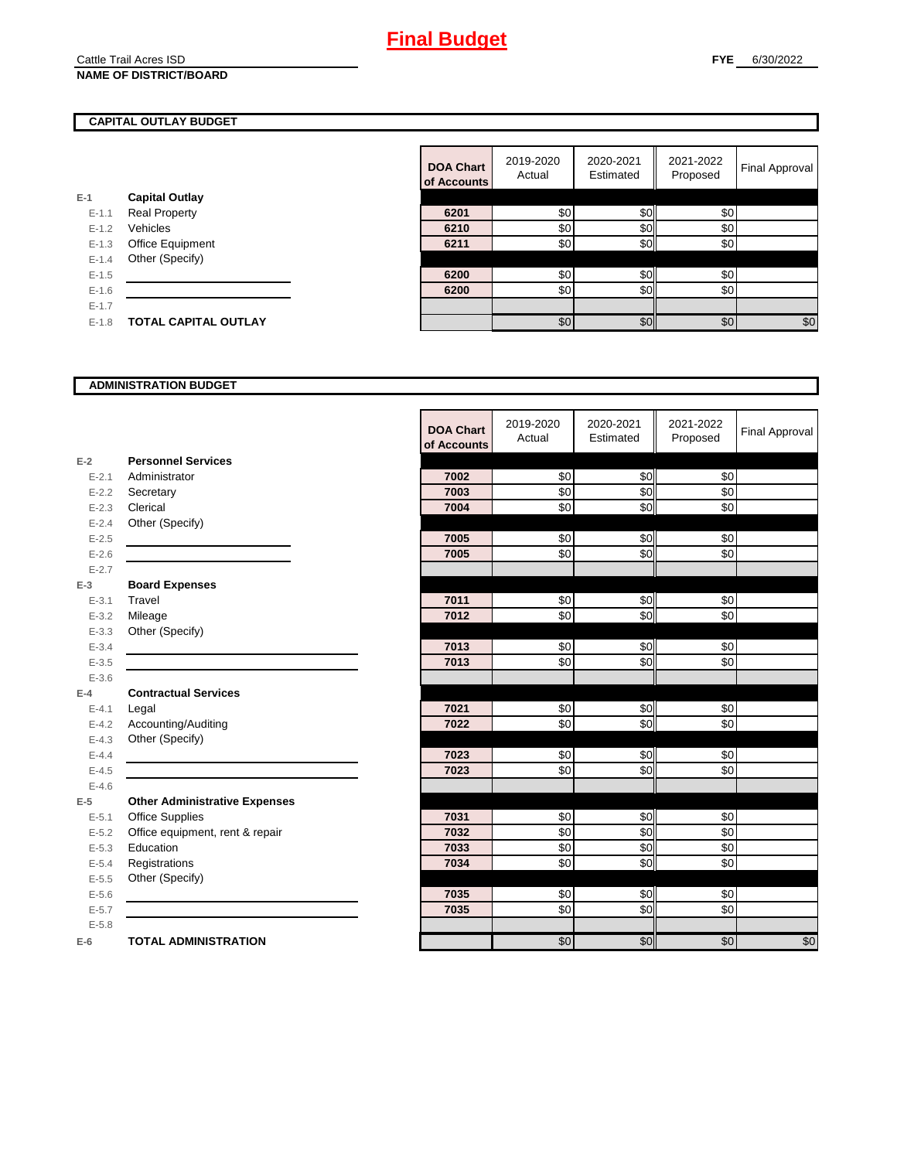#### Cattle Trail Acres ISD **NAME OF DISTRICT/BOARD**

### **CAPITAL OUTLAY BUDGET**

| E-1     | <b>Capital Outlay</b>       |
|---------|-----------------------------|
| $F-11$  | <b>Real Property</b>        |
| $F-12$  | Vehicles                    |
| $F-1.3$ | <b>Office Equipment</b>     |
| $F-14$  | Other (Specify)             |
| $F-1.5$ |                             |
| $F-16$  |                             |
| $F-17$  |                             |
| $F-1.8$ | <b>TOTAL CAPITAL OUTLAY</b> |
|         |                             |

|           |                             | <b>DOA Chart</b><br>of Accounts | 2019-2020<br>Actual | 2020-2021<br>Estimated | 2021-2022<br>Proposed | Final Approval |
|-----------|-----------------------------|---------------------------------|---------------------|------------------------|-----------------------|----------------|
|           | <b>Capital Outlay</b>       |                                 |                     |                        |                       |                |
| $E - 1.1$ | <b>Real Property</b>        | 6201                            | \$0                 | \$0                    | \$0                   |                |
| $E-1.2$   | Vehicles                    | 6210                            | \$0                 | \$0                    | \$0                   |                |
| $E - 1.3$ | Office Equipment            | 6211                            | \$0                 | \$0                    | \$0                   |                |
| $E-1.4$   | Other (Specify)             |                                 |                     |                        |                       |                |
| $E-1.5$   |                             | 6200                            | \$0                 | \$0                    | \$0                   |                |
| $E-1.6$   |                             | 6200                            | \$0                 | \$0                    | \$0                   |                |
| $E - 1.7$ |                             |                                 |                     |                        |                       |                |
| $E-1.8$   | <b>TOTAL CAPITAL OUTLAY</b> |                                 | \$0                 | \$0                    | \$0                   | \$0            |
|           |                             |                                 |                     |                        |                       |                |

#### **ADMINISTRATION BUDGET**

|           |                                      | <b>DOA Chart</b><br>of Accounts | 2019-2020<br>Actual | 2020-2021<br>Estimated | 2021-2022<br>Proposed | <b>Final Approval</b> |
|-----------|--------------------------------------|---------------------------------|---------------------|------------------------|-----------------------|-----------------------|
| $E-2$     | <b>Personnel Services</b>            |                                 |                     |                        |                       |                       |
| $E - 2.1$ | Administrator                        | 7002                            | \$0                 | \$0                    | \$0                   |                       |
| $E-2.2$   | Secretary                            | 7003                            | \$0                 | \$0                    | \$0                   |                       |
| $E - 2.3$ | Clerical                             | 7004                            | \$0                 | \$0                    | \$0                   |                       |
| $E - 2.4$ | Other (Specify)                      |                                 |                     |                        |                       |                       |
| $E - 2.5$ |                                      | 7005                            | \$0                 | \$0                    | \$0                   |                       |
| $E - 2.6$ |                                      | 7005                            | \$0                 | \$0                    | \$0                   |                       |
| $E - 2.7$ |                                      |                                 |                     |                        |                       |                       |
| $E-3$     | <b>Board Expenses</b>                |                                 |                     |                        |                       |                       |
| $E - 3.1$ | Travel                               | 7011                            | \$0                 | \$0                    | \$0                   |                       |
| $E - 3.2$ | Mileage                              | 7012                            | \$0                 | \$0                    | \$0                   |                       |
| $E - 3.3$ | Other (Specify)                      |                                 |                     |                        |                       |                       |
| $E - 3.4$ |                                      | 7013                            | \$0                 | \$0                    | \$0                   |                       |
| $E - 3.5$ |                                      | 7013                            | \$0                 | \$0                    | \$0                   |                       |
| $E - 3.6$ |                                      |                                 |                     |                        |                       |                       |
| $E-4$     | <b>Contractual Services</b>          |                                 |                     |                        |                       |                       |
| $E - 4.1$ | Legal                                | 7021                            | \$0                 | \$0                    | \$0                   |                       |
| $E-4.2$   | Accounting/Auditing                  | 7022                            | \$0                 | \$0                    | $\frac{6}{3}$         |                       |
| $E - 4.3$ | Other (Specify)                      |                                 |                     |                        |                       |                       |
| $E - 4.4$ |                                      | 7023                            | \$0                 | \$0                    | \$0                   |                       |
| $E-4.5$   |                                      | 7023                            | \$0                 | \$0                    | \$0                   |                       |
| $E-4.6$   |                                      |                                 |                     |                        |                       |                       |
| $E-5$     | <b>Other Administrative Expenses</b> |                                 |                     |                        |                       |                       |
| $E - 5.1$ | <b>Office Supplies</b>               | 7031                            | \$0                 | \$0                    | \$0                   |                       |
| $E - 5.2$ | Office equipment, rent & repair      | 7032                            | \$0                 | \$0                    | \$0                   |                       |
| $E - 5.3$ | Education                            | 7033                            | $\frac{6}{3}$       | \$0                    | $\sqrt{6}$            |                       |
| $E - 5.4$ | Registrations                        | 7034                            | \$0                 | \$0                    | \$0                   |                       |
| $E-5.5$   | Other (Specify)                      |                                 |                     |                        |                       |                       |
| $E-5.6$   |                                      | 7035                            | \$0                 | \$0                    | \$0                   |                       |
| $E - 5.7$ |                                      | 7035                            | \$0                 | \$0                    | \$0                   |                       |
| $E - 5.8$ |                                      |                                 |                     |                        |                       |                       |
| $E-6$     | <b>TOTAL ADMINISTRATION</b>          |                                 | \$0                 | \$0                    | \$0                   | \$0                   |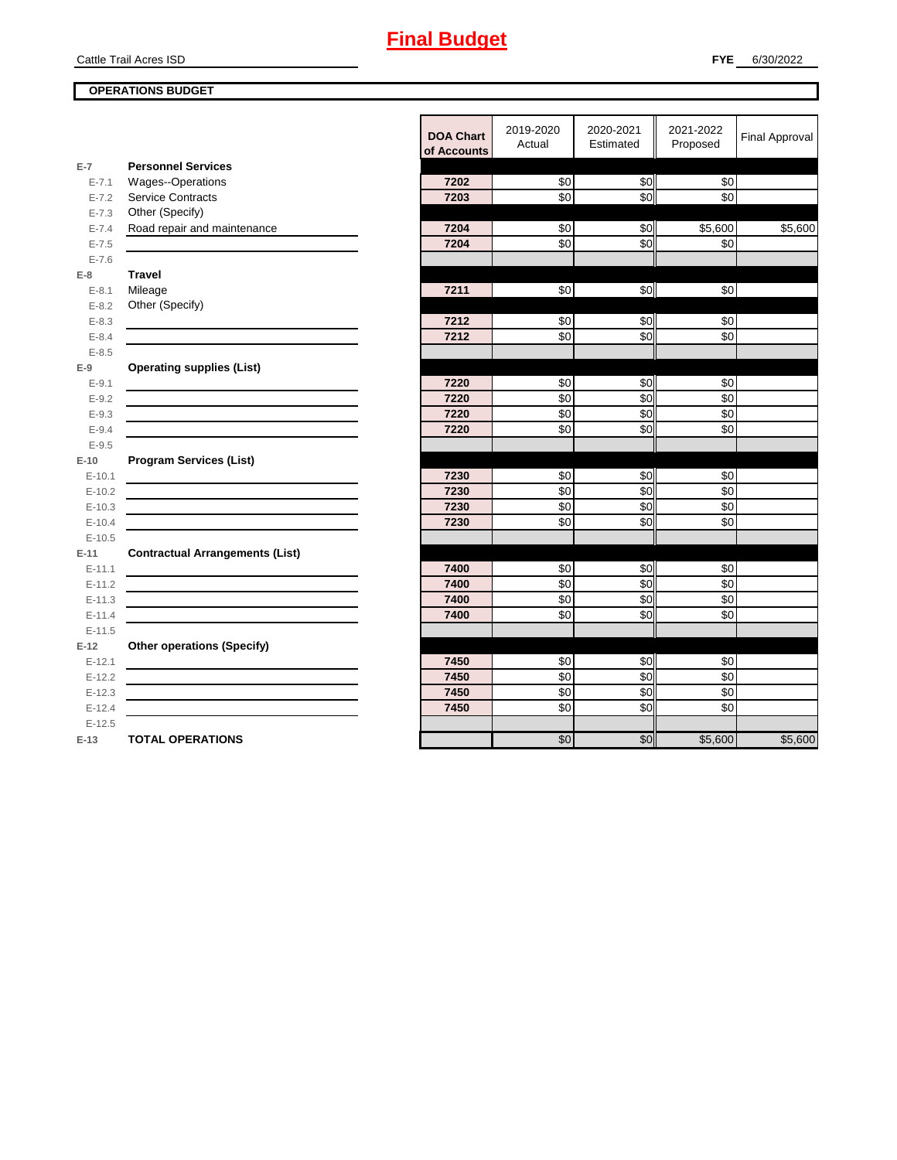# **Final Budget**

Cattle Trail Acres ISD

## **OPERATIONS BUDGET**

|           |                                        | <b>DOA Chart</b><br>of Accounts | 2019-2020<br>Actual | 2020-2021<br>Estimated | 2021-2022<br>Proposed | <b>Final Approval</b> |
|-----------|----------------------------------------|---------------------------------|---------------------|------------------------|-----------------------|-----------------------|
| $E-7$     | <b>Personnel Services</b>              |                                 |                     |                        |                       |                       |
| $E - 7.1$ | <b>Wages--Operations</b>               | 7202                            | \$0                 | \$0                    | \$0                   |                       |
| $E - 7.2$ | <b>Service Contracts</b>               | 7203                            | \$0                 | \$0                    | \$0                   |                       |
| $E - 7.3$ | Other (Specify)                        |                                 |                     |                        |                       |                       |
| $E - 7.4$ | Road repair and maintenance            | 7204                            | \$0                 | \$0                    | \$5,600               | \$5,600               |
| $E - 7.5$ |                                        | 7204                            | \$0                 | $\overline{30}$        | \$0                   |                       |
| $E - 7.6$ |                                        |                                 |                     |                        |                       |                       |
| $E-8$     | <b>Travel</b>                          |                                 |                     |                        |                       |                       |
| $E - 8.1$ | Mileage                                | 7211                            | $\frac{6}{3}$       | \$0                    | \$0                   |                       |
| $E - 8.2$ | Other (Specify)                        |                                 |                     |                        |                       |                       |
| $E - 8.3$ |                                        | 7212                            | \$0                 | \$0                    | \$0                   |                       |
| $E - 8.4$ |                                        | 7212                            | \$0                 | \$0                    | \$0                   |                       |
| $E - 8.5$ |                                        |                                 |                     |                        |                       |                       |
| $E-9$     | <b>Operating supplies (List)</b>       |                                 |                     |                        |                       |                       |
| $E-9.1$   |                                        | 7220                            | \$0                 | $\frac{6}{3}$          | \$0                   |                       |
| $E - 9.2$ |                                        | 7220                            | $\sqrt{6}$          | \$0                    | \$0                   |                       |
| $E - 9.3$ |                                        | 7220                            | \$0                 | \$0                    | \$0                   |                       |
| $E - 9.4$ |                                        | 7220                            | \$0                 | \$0                    | \$0                   |                       |
| $E - 9.5$ |                                        |                                 |                     |                        |                       |                       |
| $E-10$    | <b>Program Services (List)</b>         |                                 |                     |                        |                       |                       |
| $E-10.1$  |                                        | 7230                            | \$0                 | \$0                    | \$0                   |                       |
| $E-10.2$  |                                        | 7230                            | \$0                 | \$0                    | \$0                   |                       |
| $E-10.3$  |                                        | 7230                            | \$0                 | $\overline{30}$        | \$0                   |                       |
| $E-10.4$  |                                        | 7230                            | \$0                 | \$0                    | \$0                   |                       |
| $E-10.5$  |                                        |                                 |                     |                        |                       |                       |
| $E-11$    | <b>Contractual Arrangements (List)</b> |                                 |                     |                        |                       |                       |
| $E-11.1$  |                                        | 7400                            | \$0                 | \$0                    | \$0                   |                       |
| $E-11.2$  |                                        | 7400                            | \$0                 | $\overline{30}$        | \$0                   |                       |
| $E-11.3$  |                                        | 7400                            | \$0                 | \$0                    | \$0                   |                       |
| $E-11.4$  |                                        | 7400                            | \$0                 | \$0                    | \$0                   |                       |
| $E-11.5$  |                                        |                                 |                     |                        |                       |                       |
| $E-12$    | <b>Other operations (Specify)</b>      |                                 |                     |                        |                       |                       |
| $E-12.1$  |                                        | 7450                            | \$0                 | \$0                    | \$0                   |                       |
| $E-12.2$  |                                        | 7450                            | \$0                 | \$0                    | \$0                   |                       |
| $E-12.3$  |                                        | 7450                            | \$0                 | \$0                    | \$0                   |                       |
| $E-12.4$  |                                        | 7450                            | \$0                 | \$0                    | \$0                   |                       |
| $E-12.5$  |                                        |                                 |                     |                        |                       |                       |
| $E-13$    | <b>TOTAL OPERATIONS</b>                |                                 | \$0                 | \$0                    | \$5,600               | \$5,600               |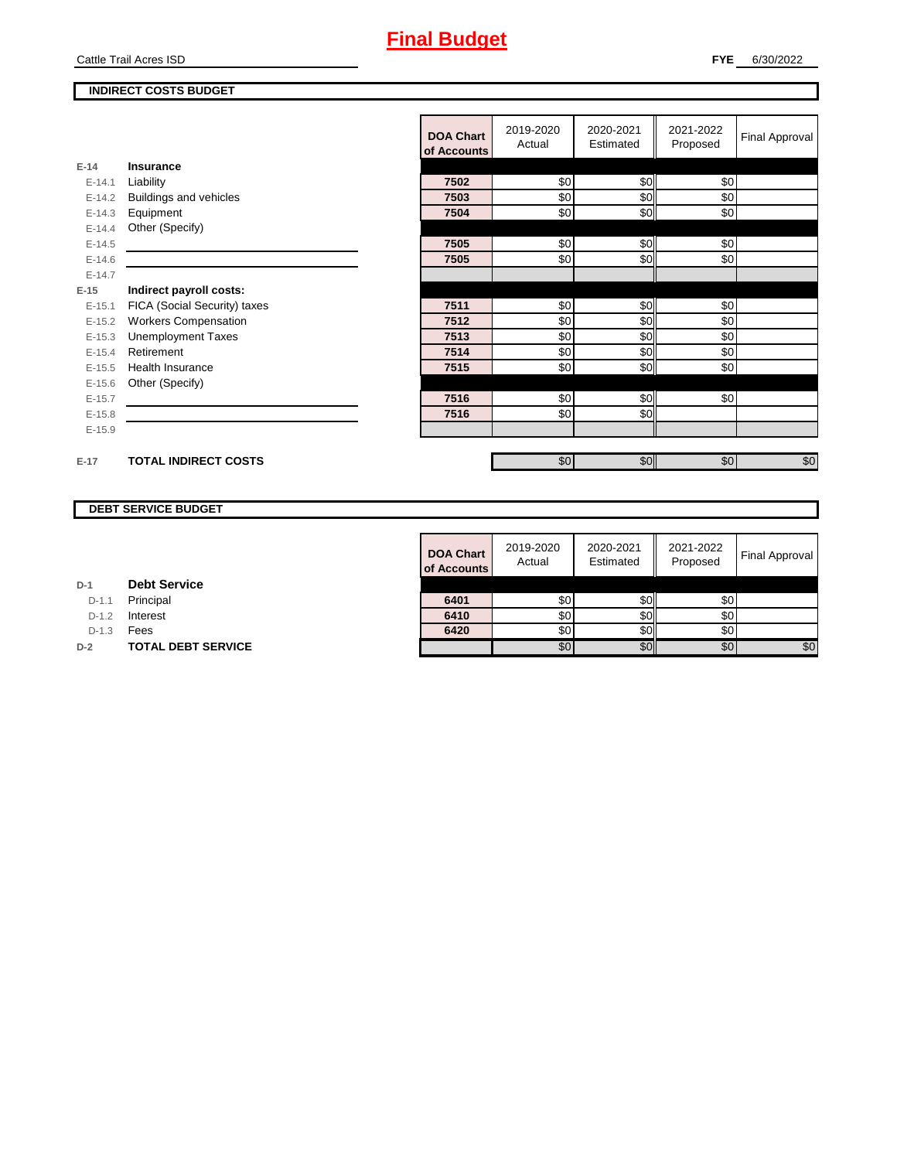# **Final Budget**

Cattle Trail Acres ISD

## **INDIRECT COSTS BUDGET**

|            |                              | <b>DOA Chart</b><br>of Accounts | 2019-2020<br>Actual | 2020-2021<br>Estimated | 2021-2022<br>Proposed | Final Approval |
|------------|------------------------------|---------------------------------|---------------------|------------------------|-----------------------|----------------|
| $E-14$     | Insurance                    |                                 |                     |                        |                       |                |
| $E - 14.1$ | Liability                    | 7502                            | \$0                 | \$0                    | \$0                   |                |
| $E-14.2$   | Buildings and vehicles       | 7503                            | \$0                 | \$0                    | \$0                   |                |
| $E-14.3$   | Equipment                    | 7504                            | \$0                 | \$0                    | \$0                   |                |
| $E-14.4$   | Other (Specify)              |                                 |                     |                        |                       |                |
| $E-14.5$   |                              | 7505                            | \$0                 | \$0                    | \$0                   |                |
| $E-14.6$   |                              | 7505                            | \$0                 | \$0                    | \$0                   |                |
| $E-14.7$   |                              |                                 |                     |                        |                       |                |
| $E-15$     | Indirect payroll costs:      |                                 |                     |                        |                       |                |
| $E-15.1$   | FICA (Social Security) taxes | 7511                            | \$0                 | \$0                    | \$0                   |                |
| $E-15.2$   | <b>Workers Compensation</b>  | 7512                            | \$0                 | \$0                    | \$0                   |                |
| $E-15.3$   | <b>Unemployment Taxes</b>    | 7513                            | \$0                 | \$0                    | \$0                   |                |
| $E-15.4$   | Retirement                   | 7514                            | \$0                 | \$0                    | \$0                   |                |
| $E-15.5$   | <b>Health Insurance</b>      | 7515                            | \$0                 | \$0                    | \$0                   |                |
| $E-15.6$   | Other (Specify)              |                                 |                     |                        |                       |                |
| $E-15.7$   |                              | 7516                            | \$0                 | \$0                    | \$0                   |                |
| $E-15.8$   |                              | 7516                            | \$0                 | \$0                    |                       |                |
| $E-15.9$   |                              |                                 |                     |                        |                       |                |
|            |                              |                                 |                     |                        |                       |                |
| $E-17$     | <b>TOTAL INDIRECT COSTS</b>  |                                 | \$0                 | \$0                    | \$0                   | $\sqrt{6}$     |
|            |                              |                                 |                     |                        |                       |                |

## **DEBT SERVICE BUDGET**

| <b>DOA Chart</b><br>of Accounts | 2019-2020<br>Actual | 2020-2021<br>Estimated | 2021-2022<br>Proposed | <b>Final Approval</b> |
|---------------------------------|---------------------|------------------------|-----------------------|-----------------------|
|                                 |                     |                        |                       |                       |
| 6401                            | \$0                 |                        | \$0                   |                       |
| 6410                            | \$0                 |                        | \$0                   |                       |
| 6420                            | \$0                 |                        | \$0                   |                       |
|                                 | \$0                 |                        | \$0                   | \$0                   |

**D-1 Debt Service**

D-1.1 **Principal** 

D-1.2 **Interest** 

D-1.3 **Fees** 

**D-2 TOTAL DEBT SERVICE**